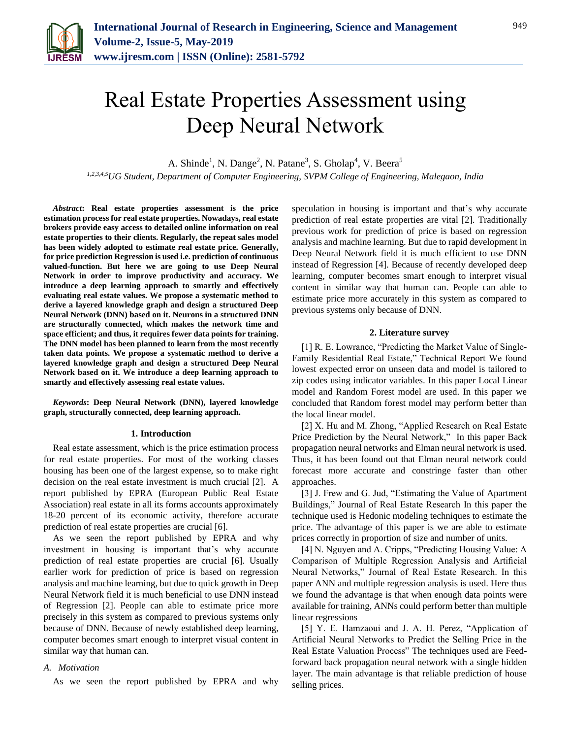

# Real Estate Properties Assessment using Deep Neural Network

A. Shinde<sup>1</sup>, N. Dange<sup>2</sup>, N. Patane<sup>3</sup>, S. Gholap<sup>4</sup>, V. Beera<sup>5</sup>

*1,2,3,4,5UG Student, Department of Computer Engineering, SVPM College of Engineering, Malegaon, India*

*Abstract***: Real estate properties assessment is the price estimation process for real estate properties. Nowadays, real estate brokers provide easy access to detailed online information on real estate properties to their clients. Regularly, the repeat sales model has been widely adopted to estimate real estate price. Generally, for price prediction Regression is used i.e. prediction of continuous valued-function. But here we are going to use Deep Neural Network in order to improve productivity and accuracy. We introduce a deep learning approach to smartly and effectively evaluating real estate values. We propose a systematic method to derive a layered knowledge graph and design a structured Deep Neural Network (DNN) based on it. Neurons in a structured DNN are structurally connected, which makes the network time and space efficient; and thus, it requires fewer data points for training. The DNN model has been planned to learn from the most recently taken data points. We propose a systematic method to derive a layered knowledge graph and design a structured Deep Neural Network based on it. We introduce a deep learning approach to smartly and effectively assessing real estate values.**

*Keywords***: Deep Neural Network (DNN), layered knowledge graph, structurally connected, deep learning approach.**

## **1. Introduction**

Real estate assessment, which is the price estimation process for real estate properties. For most of the working classes housing has been one of the largest expense, so to make right decision on the real estate investment is much crucial [2]. A report published by EPRA (European Public Real Estate Association) real estate in all its forms accounts approximately 18-20 percent of its economic activity, therefore accurate prediction of real estate properties are crucial [6].

As we seen the report published by EPRA and why investment in housing is important that's why accurate prediction of real estate properties are crucial [6]. Usually earlier work for prediction of price is based on regression analysis and machine learning, but due to quick growth in Deep Neural Network field it is much beneficial to use DNN instead of Regression [2]. People can able to estimate price more precisely in this system as compared to previous systems only because of DNN. Because of newly established deep learning, computer becomes smart enough to interpret visual content in similar way that human can.

# *A. Motivation*

As we seen the report published by EPRA and why

speculation in housing is important and that's why accurate prediction of real estate properties are vital [2]. Traditionally previous work for prediction of price is based on regression analysis and machine learning. But due to rapid development in Deep Neural Network field it is much efficient to use DNN instead of Regression [4]. Because of recently developed deep learning, computer becomes smart enough to interpret visual content in similar way that human can. People can able to estimate price more accurately in this system as compared to previous systems only because of DNN.

# **2. Literature survey**

[1] R. E. Lowrance, "Predicting the Market Value of Single-Family Residential Real Estate," Technical Report We found lowest expected error on unseen data and model is tailored to zip codes using indicator variables. In this paper Local Linear model and Random Forest model are used. In this paper we concluded that Random forest model may perform better than the local linear model.

[2] X. Hu and M. Zhong, "Applied Research on Real Estate Price Prediction by the Neural Network," In this paper Back propagation neural networks and Elman neural network is used. Thus, it has been found out that Elman neural network could forecast more accurate and constringe faster than other approaches.

[3] J. Frew and G. Jud, "Estimating the Value of Apartment Buildings," Journal of Real Estate Research In this paper the technique used is Hedonic modeling techniques to estimate the price. The advantage of this paper is we are able to estimate prices correctly in proportion of size and number of units.

[4] N. Nguyen and A. Cripps, "Predicting Housing Value: A Comparison of Multiple Regression Analysis and Artificial Neural Networks," Journal of Real Estate Research. In this paper ANN and multiple regression analysis is used. Here thus we found the advantage is that when enough data points were available for training, ANNs could perform better than multiple linear regressions

[5] Y. E. Hamzaoui and J. A. H. Perez, "Application of Artificial Neural Networks to Predict the Selling Price in the Real Estate Valuation Process" The techniques used are Feedforward back propagation neural network with a single hidden layer. The main advantage is that reliable prediction of house selling prices.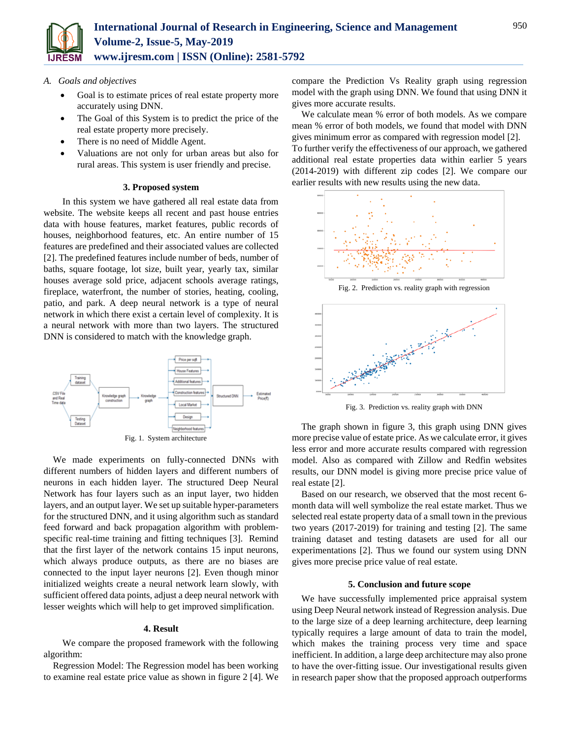

- *A. Goals and objectives*
	- Goal is to estimate prices of real estate property more accurately using DNN.
	- The Goal of this System is to predict the price of the real estate property more precisely.
	- There is no need of Middle Agent.
	- Valuations are not only for urban areas but also for rural areas. This system is user friendly and precise.

# **3. Proposed system**

In this system we have gathered all real estate data from website. The website keeps all recent and past house entries data with house features, market features, public records of houses, neighborhood features, etc. An entire number of 15 features are predefined and their associated values are collected [2]. The predefined features include number of beds, number of baths, square footage, lot size, built year, yearly tax, similar houses average sold price, adjacent schools average ratings, fireplace, waterfront, the number of stories, heating, cooling, patio, and park. A deep neural network is a type of neural network in which there exist a certain level of complexity. It is a neural network with more than two layers. The structured DNN is considered to match with the knowledge graph.



We made experiments on fully-connected DNNs with different numbers of hidden layers and different numbers of neurons in each hidden layer. The structured Deep Neural Network has four layers such as an input layer, two hidden layers, and an output layer. We set up suitable hyper-parameters for the structured DNN, and it using algorithm such as standard feed forward and back propagation algorithm with problemspecific real-time training and fitting techniques [3]. Remind that the first layer of the network contains 15 input neurons, which always produce outputs, as there are no biases are connected to the input layer neurons [2]. Even though minor initialized weights create a neural network learn slowly, with sufficient offered data points, adjust a deep neural network with lesser weights which will help to get improved simplification.

## **4. Result**

We compare the proposed framework with the following algorithm:

Regression Model: The Regression model has been working to examine real estate price value as shown in figure 2 [4]. We compare the Prediction Vs Reality graph using regression model with the graph using DNN. We found that using DNN it gives more accurate results.

We calculate mean % error of both models. As we compare mean % error of both models, we found that model with DNN gives minimum error as compared with regression model [2]. To further verify the effectiveness of our approach, we gathered additional real estate properties data within earlier 5 years (2014-2019) with different zip codes [2]. We compare our earlier results with new results using the new data.



Fig. 2. Prediction vs. reality graph with regression



Fig. 3. Prediction vs. reality graph with DNN

The graph shown in figure 3, this graph using DNN gives more precise value of estate price. As we calculate error, it gives less error and more accurate results compared with regression model. Also as compared with Zillow and Redfin websites results, our DNN model is giving more precise price value of real estate [2].

Based on our research, we observed that the most recent 6 month data will well symbolize the real estate market. Thus we selected real estate property data of a small town in the previous two years (2017-2019) for training and testing [2]. The same training dataset and testing datasets are used for all our experimentations [2]. Thus we found our system using DNN gives more precise price value of real estate.

## **5. Conclusion and future scope**

We have successfully implemented price appraisal system using Deep Neural network instead of Regression analysis. Due to the large size of a deep learning architecture, deep learning typically requires a large amount of data to train the model, which makes the training process very time and space inefficient. In addition, a large deep architecture may also prone to have the over-fitting issue. Our investigational results given in research paper show that the proposed approach outperforms